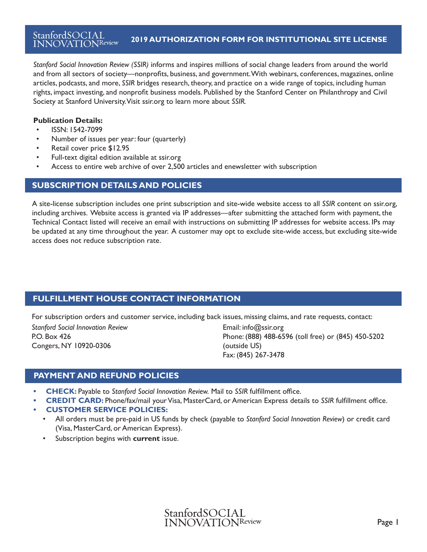*Stanford Social Innovation Review (SSIR)* informs and inspires millions of social change leaders from around the world and from all sectors of society—nonprofits, foundations, business, social enterprise, academia, and government. With magazines, online articles, podcasts, webinars, conferences, and more, *SSIR* bridges research, theory, and practice on a wide range of topics, including human rights, impact investing, and nonprofit business models. *SSIR* is published by the Stanford Center on Philanthropy & Civil Society at Stanford University. Visit ssir.org to learn more about *SSIR*.

#### **Publication Details:**

- ISSN: 1542-7099
- Number of issues per year: four (quarterly)
- Retail cover price \$12.95
- Full-text digital edition available at ssir.org
- Access to entire web archive of over 4000 articles and enewsletter with subscription

## **SUBSCRIPTION DETAILS AND POLICIES**

A site-license subscription includes one print subscription and site-wide website access to all *SSIR* content on ssir.org, including archives. Website access is granted via IP addresses—after submitting the attached form with payment, the Technical Contact listed will receive an email with instructions on submitting IP addresses for website access. IPs may be updated at any time throughout the year. A customer may opt to exclude site-wide access, but excluding site-wide access does not reduce subscription rate.

# **FULFILLMENT HOUSE CONTACT INFORMATION**

For subscription orders and customer service, including back issues, missing claims, and rate requests, contact:

*Stanford Social Innovation Review* P.O. Box 426 Congers, NY 10920-0306

Email: info@ssir.org Phone: (888) 488-6596 (toll free) or (845) 450-5202 (outside US) Fax: (845) 267-3478

# **PAYMENT AND REFUND POLICIES**

- **• CHECK:** Payable to *Stanford Social Innovation Review.* Mail to *SSIR* fulfillment office.
- **• CREDIT CARD:** Phone/fax/mail your Visa, MasterCard, or American Express details to *SSIR* fulfillment office.
- **• CUSTOMER SERVICE POLICIES:**
	- All orders must be pre-paid in US funds by check (payable to *Stanford Social Innovation Review*) or credit card (Visa, MasterCard, or American Express).
	- Subscription begins with **current** issue.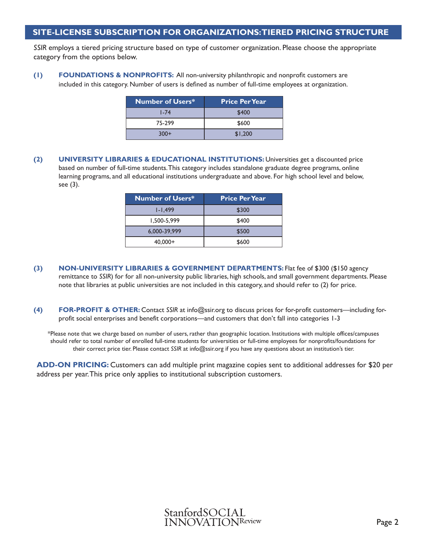### **SITE-LICENSE SUBSCRIPTION FOR ORGANIZATIONS: TIERED PRICING STRUCTURE**

*SSIR* employs a tiered pricing structure based on type of customer organization. Please choose the appropriate category from the options below.

**(1) FOUNDATIONS & NONPROFITS:** All non-university philanthropic and nonprofit customers are included in this category. Number of users is defined as number of full-time employees at organization.

| <b>Number of Users*</b> | <b>Price Per Year</b> |
|-------------------------|-----------------------|
| $1 - 74$                | \$400                 |
| 75-299                  | \$600                 |
| $300+$                  | \$1,200               |

**(2) UNIVERSITY LIBRARIES & EDUCATIONAL INSTITUTIONS:** Universities get a discounted price based on number of full-time students. This category includes standalone graduate degree programs, online learning programs, and all educational institutions undergraduate and above. For high school level and below, see (3).

| <b>Number of Users*</b> | <b>Price Per Year</b> |
|-------------------------|-----------------------|
| $1 - 1.499$             | \$300                 |
| 1,500-5,999             | \$400                 |
| 6,000-39,999            | \$500                 |
| $40,000+$               | \$600                 |

- **(3) NON-UNIVERSITY LIBRARIES & GOVERNMENT DEPARTMENTS:** Flat fee of \$300 (\$150 agency remittance to *SSIR*) for for all non-university public libraries, high schools, and small government departments. Please note that libraries at public universities are not included in this category, and should refer to (2) for price.
- **(4) FOR-PROFIT & OTHER:** Contact *SSIR* at info@ssir.org to discuss prices for for-profit customers—including forprofit social enterprises and benefit corporations—and customers that don't fall into categories 1-3

\*Please note that we charge based on number of users, rather than geographic location. Institutions with multiple offices/campuses should refer to total number of enrolled full-time students for universities or full-time employees for nonprofits/foundations for their correct price tier. Please contact *SSIR* at info@ssir.org if you have any questions about an institution's tier.

**ADD-ON PRICING:** Customers can add multiple print magazine copies sent to additional addresses for \$20 per address per year. This price only applies to institutional subscription customers.